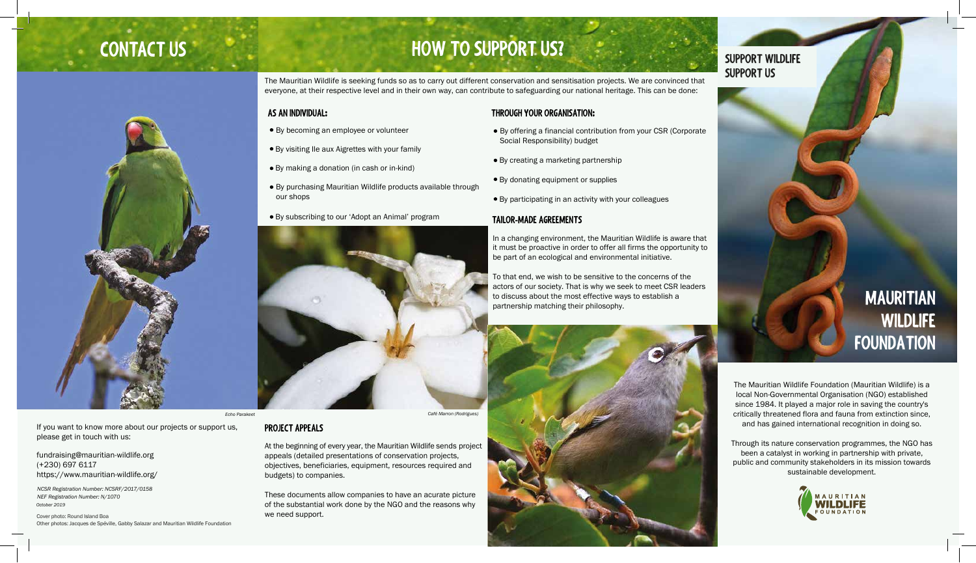

# **CONTACT US EXECUTE 2 HOW TO SUPPORT US?**

The Mauritian Wildlife is seeking funds so as to carry out different conservation and sensitisation projects. We are convinced that everyone, at their respective level and in their own way, can contribute to safeguarding our national heritage. This can be done:

### **THROUGH YOUR ORGANISATION:**

- By offering a financial contribution from your CSR (Corporate Social Responsibility) budget
- By creating a marketing partnership
- By donating equipment or supplies
- By participating in an activity with your colleagues

### **AS AN INDIVIDUAL:**

- By becoming an employee or volunteer
- By visiting Ile aux Aigrettes with your family
- By making a donation (in cash or in-kind)
- By purchasing Mauritian Wildlife products available through our shops
- By subscribing to our 'Adopt an Animal' program **TAILOR-MADE AGREEMENTS**



In a changing environment, the Mauritian Wildlife is aware that it must be proactive in order to offer all firms the opportunity to be part of an ecological and environmental initiative.

To that end, we wish to be sensitive to the concerns of the actors of our society. That is why we seek to meet CSR leaders to discuss about the most effective ways to establish a partnership matching their philosophy.



### *Echo Parakeet Café Marron (Rodrigues)*

### **PROJECT APPEALS**

At the beginning of every year, the Mauritian Wildlife sends project appeals (detailed presentations of conservation projects, objectives, beneficiaries, equipment, resources required and budgets) to companies.

These documents allow companies to have an acurate picture of the substantial work done by the NGO and the reasons why we need support.

## **SUPPORT WILDLIFE SUPPORT US**

# **MAURITIAN WILDLIFE FOUNDATION**

The Mauritian Wildlife Foundation (Mauritian Wildlife) is a local Non-Governmental Organisation (NGO) established since 1984. It played a major role in saving the country's critically threatened flora and fauna from extinction since, and has gained international recognition in doing so.

Through its nature conservation programmes, the NGO has been a catalyst in working in partnership with private, public and community stakeholders in its mission towards sustainable development.



If you want to know more about our projects or support us, please get in touch with us:

fundraising@mauritian-wildlife.org (+230) 697 6117 https://www.mauritian-wildlife.org/

Cover photo: Round Island Boa Other photos: Jacques de Spéville, Gabby Salazar and Mauritian Wildlife Foundation

*NCSR Registration Number: NCSRF/2017/0158 NEF Registration Number: N/1070 October 2019*